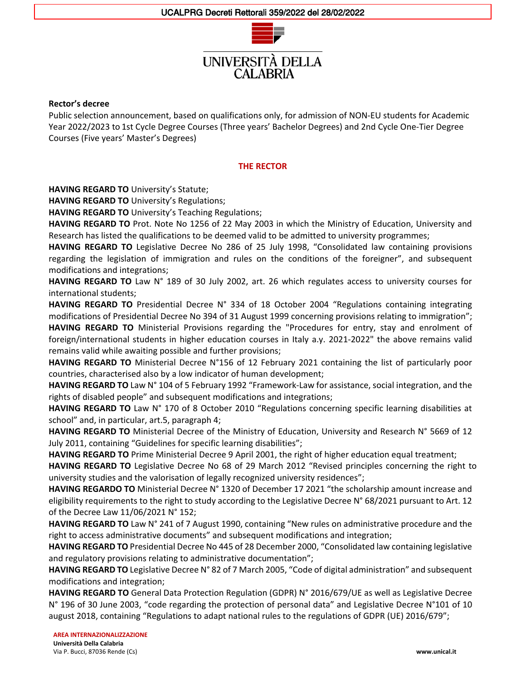CAL ARRIA



#### **Rector's decree**

Public selection announcement, based on qualifications only, for admission of NON-EU students for Academic Year 2022/2023 to 1st Cycle Degree Courses (Three years' Bachelor Degrees) and 2nd Cycle One-Tier Degree Courses (Five years' Master's Degrees)

#### **THE RECTOR**

**HAVING REGARD TO** University's Statute;

**HAVING REGARD TO** University's Regulations;

**HAVING REGARD TO** University's Teaching Regulations;

**HAVING REGARD TO** Prot. Note No 1256 of 22 May 2003 in which the Ministry of Education, University and Research has listed the qualifications to be deemed valid to be admitted to university programmes;

**HAVING REGARD TO** Legislative Decree No 286 of 25 July 1998, "Consolidated law containing provisions regarding the legislation of immigration and rules on the conditions of the foreigner", and subsequent modifications and integrations;

**HAVING REGARD TO** Law N° 189 of 30 July 2002, art. 26 which regulates access to university courses for international students;

**HAVING REGARD TO** Presidential Decree N° 334 of 18 October 2004 "Regulations containing integrating modifications of Presidential Decree No 394 of 31 August 1999 concerning provisions relating to immigration";

**HAVING REGARD TO** Ministerial Provisions regarding the "Procedures for entry, stay and enrolment of foreign/international students in higher education courses in Italy a.y. 2021-2022" the above remains valid remains valid while awaiting possible and further provisions;

**HAVING REGARD TO** Ministerial Decree N°156 of 12 February 2021 containing the list of particularly poor countries, characterised also by a low indicator of human development;

**HAVING REGARD TO** Law N° 104 of 5 February 1992 "Framework-Law for assistance, social integration, and the rights of disabled people" and subsequent modifications and integrations;

**HAVING REGARD TO** Law N° 170 of 8 October 2010 "Regulations concerning specific learning disabilities at school" and, in particular, art.5, paragraph 4;

**HAVING REGARD TO** Ministerial Decree of the Ministry of Education, University and Research N° 5669 of 12 July 2011, containing "Guidelines for specific learning disabilities";

**HAVING REGARD TO** Prime Ministerial Decree 9 April 2001, the right of higher education equal treatment;

**HAVING REGARD TO** Legislative Decree No 68 of 29 March 2012 "Revised principles concerning the right to university studies and the valorisation of legally recognized university residences";

**HAVING REGARDO TO** Ministerial Decree N° 1320 of December 17 2021 "the scholarship amount increase and eligibility requirements to the right to study according to the Legislative Decree N° 68/2021 pursuant to Art. 12 of the Decree Law 11/06/2021 N° 152;

**HAVING REGARD TO** Law N° 241 of 7 August 1990, containing "New rules on administrative procedure and the right to access administrative documents" and subsequent modifications and integration;

**HAVING REGARD TO** Presidential Decree No 445 of 28 December 2000, "Consolidated law containing legislative and regulatory provisions relating to administrative documentation";

**HAVING REGARD TO** Legislative Decree N° 82 of 7 March 2005, "Code of digital administration" and subsequent modifications and integration;

**HAVING REGARD TO** General Data Protection Regulation (GDPR) N° 2016/679/UE as well as Legislative Decree N° 196 of 30 June 2003, "code regarding the protection of personal data" and Legislative Decree N°101 of 10 august 2018, containing "Regulations to adapt national rules to the regulations of GDPR (UE) 2016/679";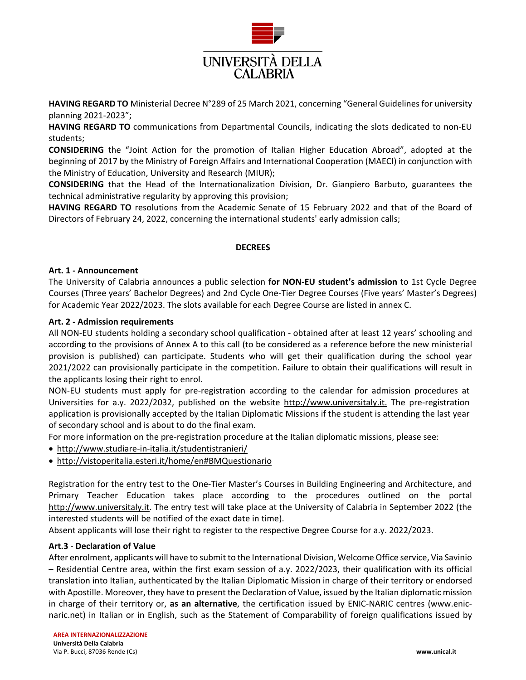

**HAVING REGARD TO** Ministerial Decree N°289 of 25 March 2021, concerning "General Guidelines for university planning 2021-2023";

**HAVING REGARD TO** communications from Departmental Councils, indicating the slots dedicated to non-EU students;

**CONSIDERING** the "Joint Action for the promotion of Italian Higher Education Abroad", adopted at the beginning of 2017 by the Ministry of Foreign Affairs and International Cooperation (MAECI) in conjunction with the Ministry of Education, University and Research (MIUR);

**CONSIDERING** that the Head of the Internationalization Division, Dr. Gianpiero Barbuto, guarantees the technical administrative regularity by approving this provision;

**HAVING REGARD TO** resolutions from the Academic Senate of 15 February 2022 and that of the Board of Directors of February 24, 2022, concerning the international students' early admission calls;

# **DECREES**

#### **Art. 1 - Announcement**

The University of Calabria announces a public selection **for NON-EU student's admission** to 1st Cycle Degree Courses (Three years' Bachelor Degrees) and 2nd Cycle One-Tier Degree Courses (Five years' Master's Degrees) for Academic Year 2022/2023. The slots available for each Degree Course are listed in annex C.

# **Art. 2 - Admission requirements**

All NON-EU students holding a secondary school qualification - obtained after at least 12 years' schooling and according to the provisions of Annex A to this call (to be considered as a reference before the new ministerial provision is published) can participate. Students who will get their qualification during the school year 2021/2022 can provisionally participate in the competition. Failure to obtain their qualifications will result in the applicants losing their right to enrol.

NON-EU students must apply for pre-registration according to the calendar for admission procedures at Universities for a.y. 2022/2032, published on the website [http://www.universitaly.it.](http://www.universitaly.it/) The pre-registration application is provisionally accepted by the Italian Diplomatic Missions if the student is attending the last year of secondary school and is about to do the final exam.

For more information on the pre-registration procedure at the Italian diplomatic missions, please see:

- <http://www.studiare-in-italia.it/studentistranieri/>
- <http://vistoperitalia.esteri.it/home/en#BMQuestionario>

Registration for the entry test to the One-Tier Master's Courses in Building Engineering and Architecture, and Primary Teacher Education takes place according to the procedures outlined on the portal [http://www.universitaly.it.](http://www.universitaly.it/) The entry test will take place at the University of Calabria in September 2022 (the interested students will be notified of the exact date in time).

Absent applicants will lose their right to register to the respective Degree Course for a.y. 2022/2023.

#### **Art.3** - **Declaration of Value**

After enrolment, applicants will have to submit to the International Division, Welcome Office service, Via Savinio – Residential Centre area, within the first exam session of a.y. 2022/2023, their qualification with its official translation into Italian, authenticated by the Italian Diplomatic Mission in charge of their territory or endorsed with Apostille. Moreover, they have to present the Declaration of Value, issued by the Italian diplomatic mission in charge of their territory or, **as an alternative**, the certification issued by ENIC-NARIC centres (www.enicnaric.net) in Italian or in English, such as the Statement of Comparability of foreign qualifications issued by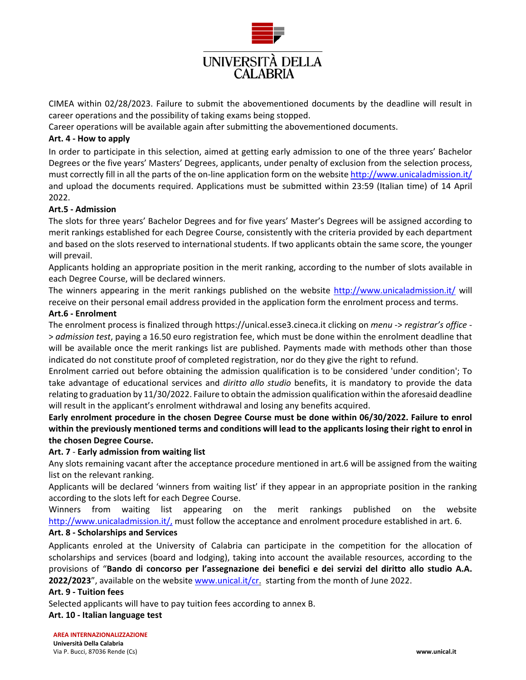

CIMEA within 02/28/2023. Failure to submit the abovementioned documents by the deadline will result in career operations and the possibility of taking exams being stopped.

Career operations will be available again after submitting the abovementioned documents.

# **Art. 4 - How to apply**

In order to participate in this selection, aimed at getting early admission to one of the three years' Bachelor Degrees or the five years' Masters' Degrees, applicants, under penalty of exclusion from the selection process, must correctly fill in all the parts of the on-line application form on the website<http://www.unicaladmission.it/> and upload the documents required. Applications must be submitted within 23:59 (Italian time) of 14 April 2022.

# **Art.5 - Admission**

The slots for three years' Bachelor Degrees and for five years' Master's Degrees will be assigned according to merit rankings established for each Degree Course, consistently with the criteria provided by each department and based on the slots reserved to international students. If two applicants obtain the same score, the younger will prevail.

Applicants holding an appropriate position in the merit ranking, according to the number of slots available in each Degree Course, will be declared winners.

The winners appearing in the merit rankings published on the website<http://www.unicaladmission.it/> will receive on their personal email address provided in the application form the enrolment process and terms.

# **Art.6 - Enrolment**

The enrolment process is finalized through https://unical.esse3.cineca.it clicking on *menu* -> *registrar's office* - > *admission test*, paying a 16.50 euro registration fee, which must be done within the enrolment deadline that will be available once the merit rankings list are published. Payments made with methods other than those indicated do not constitute proof of completed registration, nor do they give the right to refund.

Enrolment carried out before obtaining the admission qualification is to be considered 'under condition'; To take advantage of educational services and *diritto allo studio* benefits, it is mandatory to provide the data relating to graduation by 11/30/2022. Failure to obtain the admission qualification within the aforesaid deadline will result in the applicant's enrolment withdrawal and losing any benefits acquired.

**Early enrolment procedure in the chosen Degree Course must be done within 06/30/2022. Failure to enrol within the previously mentioned terms and conditions will lead to the applicants losing their right to enrol in the chosen Degree Course.**

#### **Art. 7** - **Early admission from waiting list**

Any slots remaining vacant after the acceptance procedure mentioned in art.6 will be assigned from the waiting list on the relevant ranking.

Applicants will be declared 'winners from waiting list' if they appear in an appropriate position in the ranking according to the slots left for each Degree Course.

Winners from waiting list appearing on the merit rankings published on the website <http://www.unicaladmission.it/,> must follow the acceptance and enrolment procedure established in art. 6.

## **Art. 8 - Scholarships and Services**

Applicants enroled at the University of Calabria can participate in the competition for the allocation of scholarships and services (board and lodging), taking into account the available resources, according to the provisions of "**Bando di concorso per l'assegnazione dei benefici e dei servizi del diritto allo studio A.A. 2022/2023**", available on the website www.unical.it/cr. starting from the month of June 2022.

#### **Art. 9 - Tuition fees**

Selected applicants will have to pay tuition fees according to annex B.

#### **Art. 10 - Italian language test**

#### **AREA INTERNAZIONALIZZAZIONE**

**Università Della Calabria** Via P. Bucci, 87036 Rende (Cs) **www.unical.it**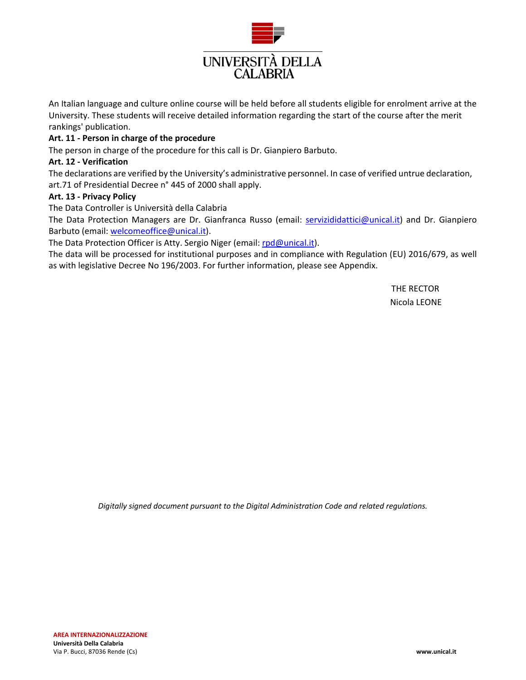

An Italian language and culture online course will be held before all students eligible for enrolment arrive at the University. These students will receive detailed information regarding the start of the course after the merit rankings' publication.

#### **Art. 11 - Person in charge of the procedure**

The person in charge of the procedure for this call is Dr. Gianpiero Barbuto.

#### **Art. 12 - Verification**

The declarations are verified by the University's administrative personnel. In case of verified untrue declaration, art.71 of Presidential Decree n° 445 of 2000 shall apply.

# **Art. 13 - Privacy Policy**

The Data Controller is Università della Calabria

The Data Protection Managers are Dr. Gianfranca Russo (email: servizididattici@unical.it) and Dr. Gianpiero Barbuto (email: welcomeoffice@unical.it).

The Data Protection Officer is Atty. Sergio Niger (email: rpd@unical.it).

The data will be processed for institutional purposes and in compliance with Regulation (EU) 2016/679, as well as with legislative Decree No 196/2003. For further information, please see Appendix.

> THE RECTOR Nicola LEONE

*Digitally signed document pursuant to the Digital Administration Code and related regulations.*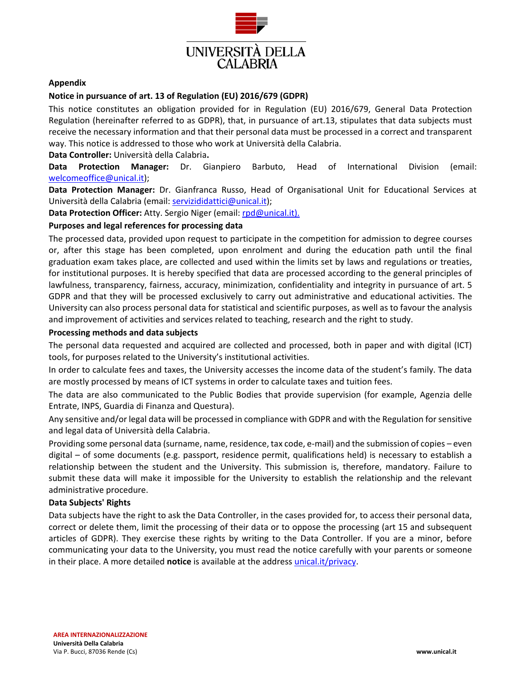

# **Appendix**

# **Notice in pursuance of art. 13 of Regulation (EU) 2016/679 (GDPR)**

This notice constitutes an obligation provided for in Regulation (EU) 2016/679, General Data Protection Regulation (hereinafter referred to as GDPR), that, in pursuance of art.13, stipulates that data subjects must receive the necessary information and that their personal data must be processed in a correct and transparent way. This notice is addressed to those who work at Università della Calabria.

**Data Controller:** Università della Calabria**.**

**Data Protection Manager:** Dr. Gianpiero Barbuto, Head of International Division (email: welcomeoffice@unical.it);

**Data Protection Manager:** Dr. Gianfranca Russo, Head of Organisational Unit for Educational Services at Università della Calabria (email: servizididattici@unical.it);

**Data Protection Officer:** Atty. Sergio Niger (email: rpd@unical.it).

# **Purposes and legal references for processing data**

The processed data, provided upon request to participate in the competition for admission to degree courses or, after this stage has been completed, upon enrolment and during the education path until the final graduation exam takes place, are collected and used within the limits set by laws and regulations or treaties, for institutional purposes. It is hereby specified that data are processed according to the general principles of lawfulness, transparency, fairness, accuracy, minimization, confidentiality and integrity in pursuance of art. 5 GDPR and that they will be processed exclusively to carry out administrative and educational activities. The University can also process personal data for statistical and scientific purposes, as well as to favour the analysis and improvement of activities and services related to teaching, research and the right to study.

#### **Processing methods and data subjects**

The personal data requested and acquired are collected and processed, both in paper and with digital (ICT) tools, for purposes related to the University's institutional activities.

In order to calculate fees and taxes, the University accesses the income data of the student's family. The data are mostly processed by means of ICT systems in order to calculate taxes and tuition fees.

The data are also communicated to the Public Bodies that provide supervision (for example, Agenzia delle Entrate, INPS, Guardia di Finanza and Questura).

Any sensitive and/or legal data will be processed in compliance with GDPR and with the Regulation for sensitive and legal data of Università della Calabria.

Providing some personal data (surname, name, residence, tax code, e-mail) and the submission of copies – even digital – of some documents (e.g. passport, residence permit, qualifications held) is necessary to establish a relationship between the student and the University. This submission is, therefore, mandatory. Failure to submit these data will make it impossible for the University to establish the relationship and the relevant administrative procedure.

#### **Data Subjects' Rights**

Data subjects have the right to ask the Data Controller, in the cases provided for, to access their personal data, correct or delete them, limit the processing of their data or to oppose the processing (art 15 and subsequent articles of GDPR). They exercise these rights by writing to the Data Controller. If you are a minor, before communicating your data to the University, you must read the notice carefully with your parents or someone in their place. A more detailed **notice** is available at the address [unical.it/privacy.](https://www.unical.it/portale/ateneo/privacy/)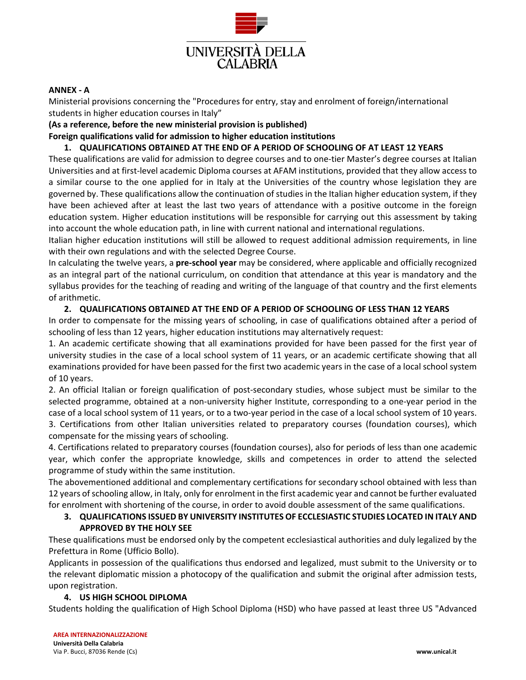

# **ANNEX - A**

Ministerial provisions concerning the "Procedures for entry, stay and enrolment of foreign/international students in higher education courses in Italy"

**(As a reference, before the new ministerial provision is published)**

**Foreign qualifications valid for admission to higher education institutions**

# **1. QUALIFICATIONS OBTAINED AT THE END OF A PERIOD OF SCHOOLING OF AT LEAST 12 YEARS**

These qualifications are valid for admission to degree courses and to one-tier Master's degree courses at Italian Universities and at first-level academic Diploma courses at AFAM institutions, provided that they allow access to a similar course to the one applied for in Italy at the Universities of the country whose legislation they are governed by. These qualifications allow the continuation of studies in the Italian higher education system, if they have been achieved after at least the last two years of attendance with a positive outcome in the foreign education system. Higher education institutions will be responsible for carrying out this assessment by taking into account the whole education path, in line with current national and international regulations.

Italian higher education institutions will still be allowed to request additional admission requirements, in line with their own regulations and with the selected Degree Course.

In calculating the twelve years, a **pre-school year** may be considered, where applicable and officially recognized as an integral part of the national curriculum, on condition that attendance at this year is mandatory and the syllabus provides for the teaching of reading and writing of the language of that country and the first elements of arithmetic.

# **2. QUALIFICATIONS OBTAINED AT THE END OF A PERIOD OF SCHOOLING OF LESS THAN 12 YEARS**

In order to compensate for the missing years of schooling, in case of qualifications obtained after a period of schooling of less than 12 years, higher education institutions may alternatively request:

1. An academic certificate showing that all examinations provided for have been passed for the first year of university studies in the case of a local school system of 11 years, or an academic certificate showing that all examinations provided for have been passed for the first two academic years in the case of a local school system of 10 years.

2. An official Italian or foreign qualification of post-secondary studies, whose subject must be similar to the selected programme, obtained at a non-university higher Institute, corresponding to a one-year period in the case of a local school system of 11 years, or to a two-year period in the case of a local school system of 10 years. 3. Certifications from other Italian universities related to preparatory courses (foundation courses), which compensate for the missing years of schooling.

4. Certifications related to preparatory courses (foundation courses), also for periods of less than one academic year, which confer the appropriate knowledge, skills and competences in order to attend the selected programme of study within the same institution.

The abovementioned additional and complementary certifications for secondary school obtained with less than 12 years of schooling allow, in Italy, only for enrolment in the first academic year and cannot be further evaluated for enrolment with shortening of the course, in order to avoid double assessment of the same qualifications.

# **3. QUALIFICATIONS ISSUED BY UNIVERSITY INSTITUTES OF ECCLESIASTIC STUDIES LOCATED IN ITALY AND APPROVED BY THE HOLY SEE**

These qualifications must be endorsed only by the competent ecclesiastical authorities and duly legalized by the Prefettura in Rome (Ufficio Bollo).

Applicants in possession of the qualifications thus endorsed and legalized, must submit to the University or to the relevant diplomatic mission a photocopy of the qualification and submit the original after admission tests, upon registration.

# **4. US HIGH SCHOOL DIPLOMA**

Students holding the qualification of High School Diploma (HSD) who have passed at least three US "Advanced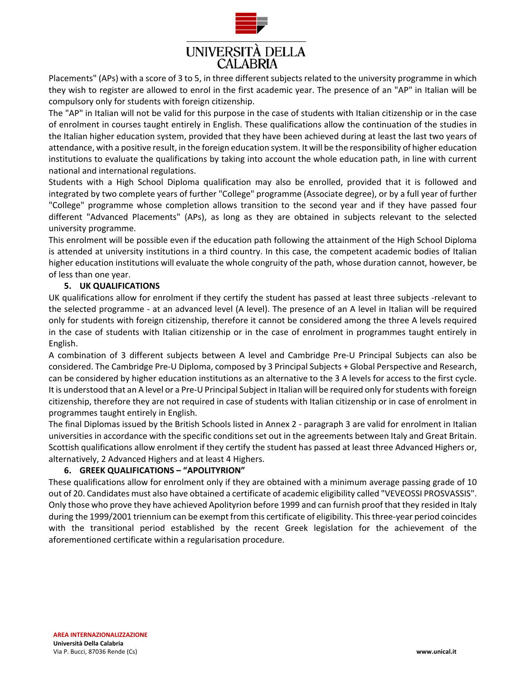

Placements" (APs) with a score of 3 to 5, in three different subjects related to the university programme in which they wish to register are allowed to enrol in the first academic year. The presence of an "AP" in Italian will be compulsory only for students with foreign citizenship.

The "AP" in Italian will not be valid for this purpose in the case of students with Italian citizenship or in the case of enrolment in courses taught entirely in English. These qualifications allow the continuation of the studies in the Italian higher education system, provided that they have been achieved during at least the last two years of attendance, with a positive result, in the foreign education system. It will be the responsibility of higher education institutions to evaluate the qualifications by taking into account the whole education path, in line with current national and international regulations.

Students with a High School Diploma qualification may also be enrolled, provided that it is followed and integrated by two complete years of further "College" programme (Associate degree), or by a full year of further "College" programme whose completion allows transition to the second year and if they have passed four different "Advanced Placements" (APs), as long as they are obtained in subjects relevant to the selected university programme.

This enrolment will be possible even if the education path following the attainment of the High School Diploma is attended at university institutions in a third country. In this case, the competent academic bodies of Italian higher education institutions will evaluate the whole congruity of the path, whose duration cannot, however, be of less than one year.

# **5. UK QUALIFICATIONS**

UK qualifications allow for enrolment if they certify the student has passed at least three subjects -relevant to the selected programme - at an advanced level (A level). The presence of an A level in Italian will be required only for students with foreign citizenship, therefore it cannot be considered among the three A levels required in the case of students with Italian citizenship or in the case of enrolment in programmes taught entirely in English.

A combination of 3 different subjects between A level and Cambridge Pre-U Principal Subjects can also be considered. The Cambridge Pre-U Diploma, composed by 3 Principal Subjects + Global Perspective and Research, can be considered by higher education institutions as an alternative to the 3 A levels for access to the first cycle. It is understood that an A level or a Pre-U Principal Subject in Italian will be required only for students with foreign citizenship, therefore they are not required in case of students with Italian citizenship or in case of enrolment in programmes taught entirely in English.

The final Diplomas issued by the British Schools listed in Annex 2 - paragraph 3 are valid for enrolment in Italian universities in accordance with the specific conditions set out in the agreements between Italy and Great Britain. Scottish qualifications allow enrolment if they certify the student has passed at least three Advanced Highers or, alternatively, 2 Advanced Highers and at least 4 Highers.

# **6. GREEK QUALIFICATIONS – "APOLITYRION"**

These qualifications allow for enrolment only if they are obtained with a minimum average passing grade of 10 out of 20. Candidates must also have obtained a certificate of academic eligibility called "VEVEOSSI PROSVASSIS". Only those who prove they have achieved Apolityrion before 1999 and can furnish proof that they resided in Italy during the 1999/2001 triennium can be exempt from this certificate of eligibility. This three-year period coincides with the transitional period established by the recent Greek legislation for the achievement of the aforementioned certificate within a regularisation procedure.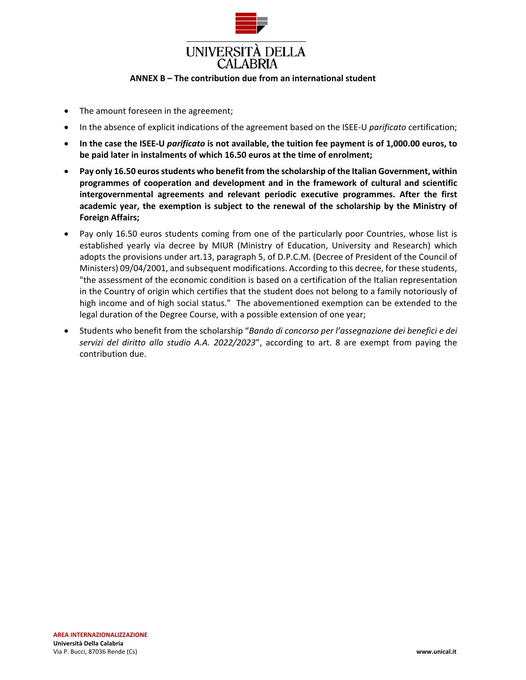

#### **ANNEX B – The contribution due from an international student**

- The amount foreseen in the agreement;
- In the absence of explicit indications of the agreement based on the ISEE-U *parificato* certification;
- **In the case the ISEE-U** *parificato* **is not available, the tuition fee payment is of 1,000.00 euros, to be paid later in instalments of which 16.50 euros at the time of enrolment;**
- **Pay only 16.50 euros students who benefit from the scholarship of the Italian Government, within programmes of cooperation and development and in the framework of cultural and scientific intergovernmental agreements and relevant periodic executive programmes. After the first academic year, the exemption is subject to the renewal of the scholarship by the Ministry of Foreign Affairs;**
- Pay only 16.50 euros students coming from one of the particularly poor Countries, whose list is established yearly via decree by MIUR (Ministry of Education, University and Research) which adopts the provisions under art.13, paragraph 5, of D.P.C.M. (Decree of President of the Council of Ministers) 09/04/2001, and subsequent modifications. According to this decree, for these students, "the assessment of the economic condition is based on a certification of the Italian representation in the Country of origin which certifies that the student does not belong to a family notoriously of high income and of high social status." The abovementioned exemption can be extended to the legal duration of the Degree Course, with a possible extension of one year;
- Students who benefit from the scholarship "*Bando di concorso per l'assegnazione dei benefici e dei servizi del diritto allo studio A.A. 2022/2023*", according to art. 8 are exempt from paying the contribution due.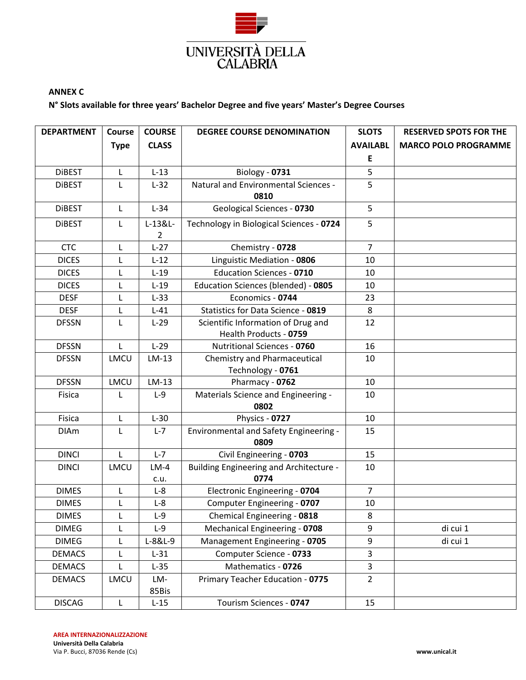

# **ANNEX C**

# **N° Slots available for three years' Bachelor Degree and five years' Master's Degree Courses**

| <b>DEPARTMENT</b> | Course       | <b>COURSE</b> | <b>DEGREE COURSE DENOMINATION</b>                        | <b>SLOTS</b>    | <b>RESERVED SPOTS FOR THE</b> |
|-------------------|--------------|---------------|----------------------------------------------------------|-----------------|-------------------------------|
|                   | <b>Type</b>  | <b>CLASS</b>  |                                                          | <b>AVAILABL</b> | <b>MARCO POLO PROGRAMME</b>   |
|                   |              |               |                                                          | Ε               |                               |
| <b>DIBEST</b>     | L            | $L-13$        | Biology - 0731                                           | 5               |                               |
| <b>DIBEST</b>     | L            | $L-32$        | Natural and Environmental Sciences -                     | 5               |                               |
|                   |              |               | 0810                                                     |                 |                               |
| <b>DIBEST</b>     | L            | $L-34$        | Geological Sciences - 0730                               | 5               |                               |
| <b>DIBEST</b>     | L            | L-13&L-       | Technology in Biological Sciences - 0724                 | 5               |                               |
|                   |              | 2             |                                                          |                 |                               |
| <b>CTC</b>        | L            | $L-27$        | Chemistry - 0728                                         | $\overline{7}$  |                               |
| <b>DICES</b>      | L            | $L-12$        | Linguistic Mediation - 0806                              | 10              |                               |
| <b>DICES</b>      | L            | $L-19$        | <b>Education Sciences - 0710</b>                         | 10              |                               |
| <b>DICES</b>      | L            | $L-19$        | Education Sciences (blended) - 0805                      | 10              |                               |
| <b>DESF</b>       |              | $L-33$        | Economics - 0744                                         | 23              |                               |
| <b>DESF</b>       | L            | $L-41$        | Statistics for Data Science - 0819                       | 8               |                               |
| <b>DFSSN</b>      | L            | $L-29$        | Scientific Information of Drug and                       | 12              |                               |
|                   |              |               | Health Products - 0759                                   |                 |                               |
| <b>DFSSN</b>      | $\mathsf{L}$ | $L-29$        | <b>Nutritional Sciences - 0760</b>                       | 16              |                               |
| <b>DFSSN</b>      | LMCU         | $LM-13$       | <b>Chemistry and Pharmaceutical</b><br>Technology - 0761 | 10              |                               |
| <b>DFSSN</b>      | LMCU         | $LM-13$       | Pharmacy - 0762                                          | 10              |                               |
| Fisica            | L            | $L-9$         | Materials Science and Engineering -<br>0802              | 10              |                               |
| Fisica            | L            | $L-30$        | Physics - 0727                                           | 10              |                               |
| <b>DIAm</b>       | L            | $L - 7$       | Environmental and Safety Engineering -<br>0809           | 15              |                               |
| <b>DINCI</b>      | $\mathsf{L}$ | $L - 7$       | Civil Engineering - 0703                                 | 15              |                               |
| <b>DINCI</b>      | LMCU         | $LM-4$        | <b>Building Engineering and Architecture -</b>           | 10              |                               |
|                   |              | c.u.          | 0774                                                     |                 |                               |
| <b>DIMES</b>      | L            | $L-8$         | Electronic Engineering - 0704                            | $\overline{7}$  |                               |
| <b>DIMES</b>      | L            | $L-8$         | Computer Engineering - 0707                              | 10              |                               |
| <b>DIMES</b>      | L            | $L-9$         | Chemical Engineering - 0818                              | 8               |                               |
| <b>DIMEG</b>      | L            | $L-9$         | Mechanical Engineering - 0708                            | 9               | di cui 1                      |
| <b>DIMEG</b>      | L            | L-8&L-9       | Management Engineering - 0705                            | 9               | di cui 1                      |
| <b>DEMACS</b>     | L            | $L-31$        | Computer Science - 0733                                  | 3               |                               |
| <b>DEMACS</b>     | L            | $L-35$        | Mathematics - 0726                                       | 3               |                               |
| <b>DEMACS</b>     | LMCU         | LM-<br>85Bis  | Primary Teacher Education - 0775                         | $\overline{2}$  |                               |
| <b>DISCAG</b>     | L            | $L-15$        | Tourism Sciences - 0747                                  | 15              |                               |

**AREA INTERNAZIONALIZZAZIONE Università Della Calabria**

Via P. Bucci, 87036 Rende (Cs) **www.unical.it**